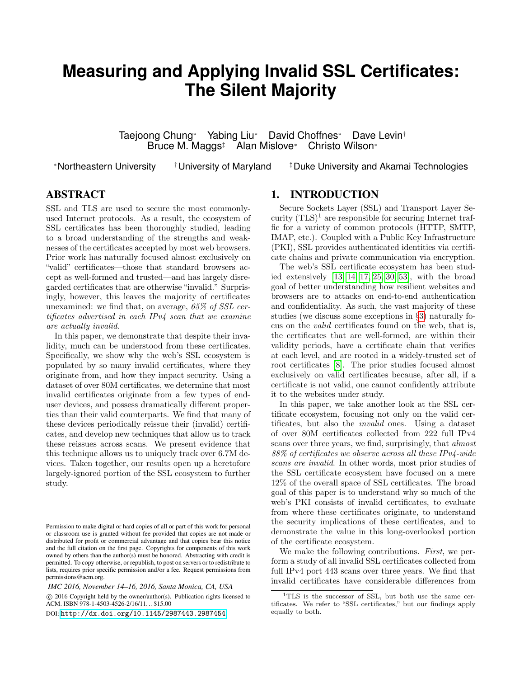# **Measuring and Applying Invalid SSL Certificates: The Silent Majority**

Taejoong Chung∗ Yabing Liu∗ David Choffnes∗ Dave Levin†<br>Fruce M. Maggs‡ Alan Mislove∗ Christo Wilson∗ Bruce M. Maggs<sup>‡</sup> Alan Mislove<sup>∗</sup>

<sup>∗</sup>Northeastern University †University of Maryland ‡Duke University and Akamai Technologies

# ABSTRACT

SSL and TLS are used to secure the most commonlyused Internet protocols. As a result, the ecosystem of SSL certificates has been thoroughly studied, leading to a broad understanding of the strengths and weaknesses of the certificates accepted by most web browsers. Prior work has naturally focused almost exclusively on "valid" certificates—those that standard browsers accept as well-formed and trusted—and has largely disregarded certificates that are otherwise "invalid." Surprisingly, however, this leaves the majority of certificates unexamined: we find that, on average, 65% of SSL certificates advertised in each IPv4 scan that we examine are actually invalid.

In this paper, we demonstrate that despite their invalidity, much can be understood from these certificates. Specifically, we show why the web's SSL ecosystem is populated by so many invalid certificates, where they originate from, and how they impact security. Using a dataset of over 80M certificates, we determine that most invalid certificates originate from a few types of enduser devices, and possess dramatically different properties than their valid counterparts. We find that many of these devices periodically reissue their (invalid) certificates, and develop new techniques that allow us to track these reissues across scans. We present evidence that this technique allows us to uniquely track over 6.7M devices. Taken together, our results open up a heretofore largely-ignored portion of the SSL ecosystem to further study.

 $\circ$  2016 Copyright held by the owner/author(s). Publication rights licensed to ACM. ISBN 978-1-4503-4526-2/16/11...\$15.00

DOI: <http://dx.doi.org/10.1145/2987443.2987454>

## 1. INTRODUCTION

Secure Sockets Layer (SSL) and Transport Layer Security  $(TLS)^1$  are responsible for securing Internet traffic for a variety of common protocols (HTTP, SMTP, IMAP, etc.). Coupled with a Public Key Infrastructure (PKI), SSL provides authenticated identities via certificate chains and private communication via encryption.

The web's SSL certificate ecosystem has been studied extensively [\[13,](#page-14-0) [14,](#page-14-1) [17,](#page-14-2) [25,](#page-14-3) [30,](#page-14-4) [53\]](#page-14-5), with the broad goal of better understanding how resilient websites and browsers are to attacks on end-to-end authentication and confidentiality. As such, the vast majority of these studies (we discuss some exceptions in §[3\)](#page-2-0) naturally focus on the valid certificates found on the web, that is, the certificates that are well-formed, are within their validity periods, have a certificate chain that verifies at each level, and are rooted in a widely-trusted set of root certificates [\[8\]](#page-13-0). The prior studies focused almost exclusively on valid certificates because, after all, if a certificate is not valid, one cannot confidently attribute it to the websites under study.

In this paper, we take another look at the SSL certificate ecosystem, focusing not only on the valid certificates, but also the invalid ones. Using a dataset of over 80M certificates collected from 222 full IPv4 scans over three years, we find, surprisingly, that almost 88% of certificates we observe across all these IPv4-wide scans are invalid. In other words, most prior studies of the SSL certificate ecosystem have focused on a mere 12% of the overall space of SSL certificates. The broad goal of this paper is to understand why so much of the web's PKI consists of invalid certificates, to evaluate from where these certificates originate, to understand the security implications of these certificates, and to demonstrate the value in this long-overlooked portion of the certificate ecosystem.

We make the following contributions. First, we perform a study of all invalid SSL certificates collected from full IPv4 port 443 scans over three years. We find that invalid certificates have considerable differences from

Permission to make digital or hard copies of all or part of this work for personal or classroom use is granted without fee provided that copies are not made or distributed for profit or commercial advantage and that copies bear this notice and the full citation on the first page. Copyrights for components of this work owned by others than the author(s) must be honored. Abstracting with credit is permitted. To copy otherwise, or republish, to post on servers or to redistribute to lists, requires prior specific permission and/or a fee. Request permissions from permissions@acm.org.

*IMC 2016, November 14–16, 2016, Santa Monica, CA, USA*

<sup>&</sup>lt;sup>1</sup>TLS is the successor of SSL, but both use the same certificates. We refer to "SSL certificates," but our findings apply equally to both.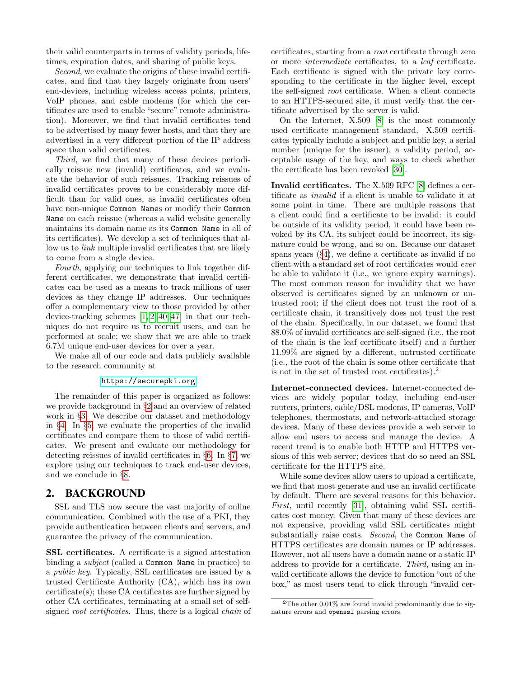their valid counterparts in terms of validity periods, lifetimes, expiration dates, and sharing of public keys.

Second, we evaluate the origins of these invalid certificates, and find that they largely originate from users' end-devices, including wireless access points, printers, VoIP phones, and cable modems (for which the certificates are used to enable "secure" remote administration). Moreover, we find that invalid certificates tend to be advertised by many fewer hosts, and that they are advertised in a very different portion of the IP address space than valid certificates.

Third, we find that many of these devices periodically reissue new (invalid) certificates, and we evaluate the behavior of such reissues. Tracking reissues of invalid certificates proves to be considerably more difficult than for valid ones, as invalid certificates often have non-unique Common Names or modify their Common Name on each reissue (whereas a valid website generally maintains its domain name as its Common Name in all of its certificates). We develop a set of techniques that allow us to *link* multiple invalid certificates that are likely to come from a single device.

Fourth, applying our techniques to link together different certificates, we demonstrate that invalid certificates can be used as a means to track millions of user devices as they change IP addresses. Our techniques offer a complementary view to those provided by other device-tracking schemes [\[1,](#page-13-1) [2,](#page-13-2) [40,](#page-14-6) [47\]](#page-14-7) in that our techniques do not require us to recruit users, and can be performed at scale; we show that we are able to track 6.7M unique end-user devices for over a year.

We make all of our code and data publicly available to the research community at

#### <https://securepki.org>

The remainder of this paper is organized as follows: we provide background in §[2](#page-1-0) and an overview of related work in §[3.](#page-2-0) We describe our dataset and methodology in §[4.](#page-2-1) In §[5,](#page-3-0) we evaluate the properties of the invalid certificates and compare them to those of valid certificates. We present and evaluate our methodology for detecting reissues of invalid certificates in §[6.](#page-7-0) In §[7,](#page-11-0) we explore using our techniques to track end-user devices, and we conclude in §[8.](#page-13-3)

## <span id="page-1-0"></span>2. BACKGROUND

SSL and TLS now secure the vast majority of online communication. Combined with the use of a PKI, they provide authentication between clients and servers, and guarantee the privacy of the communication.

SSL certificates. A certificate is a signed attestation binding a subject (called a Common Name in practice) to a public key. Typically, SSL certificates are issued by a trusted Certificate Authority (CA), which has its own certificate(s); these CA certificates are further signed by other CA certificates, terminating at a small set of selfsigned root certificates. Thus, there is a logical chain of certificates, starting from a root certificate through zero or more intermediate certificates, to a leaf certificate. Each certificate is signed with the private key corresponding to the certificate in the higher level, except the self-signed root certificate. When a client connects to an HTTPS-secured site, it must verify that the certificate advertised by the server is valid.

On the Internet, X.509 [\[8\]](#page-13-0) is the most commonly used certificate management standard. X.509 certificates typically include a subject and public key, a serial number (unique for the issuer), a validity period, acceptable usage of the key, and ways to check whether the certificate has been revoked [\[30\]](#page-14-4).

Invalid certificates. The X.509 RFC [\[8\]](#page-13-0) defines a certificate as invalid if a client is unable to validate it at some point in time. There are multiple reasons that a client could find a certificate to be invalid: it could be outside of its validity period, it could have been revoked by its CA, its subject could be incorrect, its signature could be wrong, and so on. Because our dataset spans years  $(\S4)$  $(\S4)$ , we define a certificate as invalid if no client with a standard set of root certificates would ever be able to validate it (i.e., we ignore expiry warnings). The most common reason for invalidity that we have observed is certificates signed by an unknown or untrusted root; if the client does not trust the root of a certificate chain, it transitively does not trust the rest of the chain. Specifically, in our dataset, we found that 88.0% of invalid certificates are self-signed (i.e., the root of the chain is the leaf certificate itself) and a further 11.99% are signed by a different, untrusted certificate (i.e., the root of the chain is some other certificate that is not in the set of trusted root certificates).<sup>2</sup>

Internet-connected devices. Internet-connected devices are widely popular today, including end-user routers, printers, cable/DSL modems, IP cameras, VoIP telephones, thermostats, and network-attached storage devices. Many of these devices provide a web server to allow end users to access and manage the device. A recent trend is to enable both HTTP and HTTPS versions of this web server; devices that do so need an SSL certificate for the HTTPS site.

While some devices allow users to upload a certificate, we find that most generate and use an invalid certificate by default. There are several reasons for this behavior. First, until recently [\[31\]](#page-14-8), obtaining valid SSL certificates cost money. Given that many of these devices are not expensive, providing valid SSL certificates might substantially raise costs. Second, the Common Name of HTTPS certificates are domain names or IP addresses. However, not all users have a domain name or a static IP address to provide for a certificate. Third, using an invalid certificate allows the device to function "out of the box," as most users tend to click through "invalid cer-

<sup>&</sup>lt;sup>2</sup>The other 0.01% are found invalid predominantly due to signature errors and openssl parsing errors.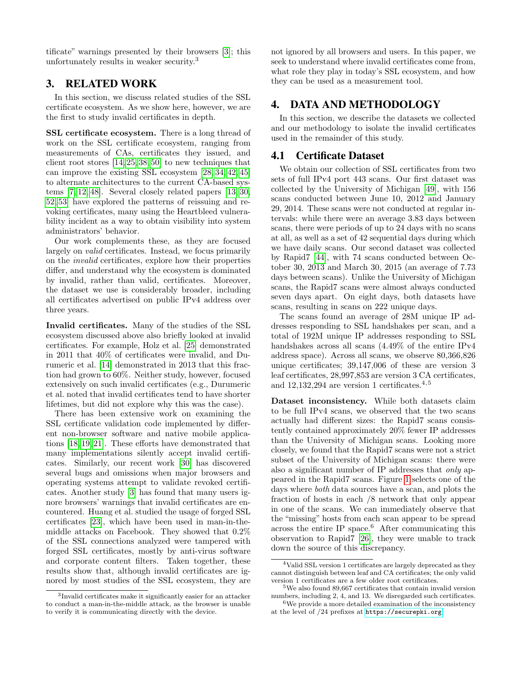tificate" warnings presented by their browsers [\[3\]](#page-13-4); this unfortunately results in weaker security.<sup>3</sup>

# <span id="page-2-0"></span>3. RELATED WORK

In this section, we discuss related studies of the SSL certificate ecosystem. As we show here, however, we are the first to study invalid certificates in depth.

SSL certificate ecosystem. There is a long thread of work on the SSL certificate ecosystem, ranging from measurements of CAs, certificates they issued, and client root stores [\[14,](#page-14-1) [25,](#page-14-3) [38,](#page-14-9) [50\]](#page-14-10) to new techniques that can improve the existing SSL ecosystem [\[28,](#page-14-11) [34,](#page-14-12) [42,](#page-14-13) [45\]](#page-14-14) to alternate architectures to the current CA-based systems [\[7,](#page-13-5) [12,](#page-13-6) [48\]](#page-14-15). Several closely related papers [\[13,](#page-14-0) [30,](#page-14-4) [52,](#page-14-16) [53\]](#page-14-5) have explored the patterns of reissuing and revoking certificates, many using the Heartbleed vulnerability incident as a way to obtain visibility into system administrators' behavior.

Our work complements these, as they are focused largely on valid certificates. Instead, we focus primarily on the invalid certificates, explore how their properties differ, and understand why the ecosystem is dominated by invalid, rather than valid, certificates. Moreover, the dataset we use is considerably broader, including all certificates advertised on public IPv4 address over three years.

Invalid certificates. Many of the studies of the SSL ecosystem discussed above also briefly looked at invalid certificates. For example, Holz et al. [\[25\]](#page-14-3) demonstrated in 2011 that 40% of certificates were invalid, and Durumeric et al. [\[14\]](#page-14-1) demonstrated in 2013 that this fraction had grown to 60%. Neither study, however, focused extensively on such invalid certificates (e.g., Durumeric et al. noted that invalid certificates tend to have shorter lifetimes, but did not explore why this was the case).

There has been extensive work on examining the SSL certificate validation code implemented by different non-browser software and native mobile applications [\[18,](#page-14-17) [19,](#page-14-18) [21\]](#page-14-19). These efforts have demonstrated that many implementations silently accept invalid certificates. Similarly, our recent work [\[30\]](#page-14-4) has discovered several bugs and omissions when major browsers and operating systems attempt to validate revoked certificates. Another study [\[3\]](#page-13-4) has found that many users ignore browsers' warnings that invalid certificates are encountered. Huang et al. studied the usage of forged SSL certificates [\[23\]](#page-14-20), which have been used in man-in-themiddle attacks on Facebook. They showed that 0.2% of the SSL connections analyzed were tampered with forged SSL certificates, mostly by anti-virus software and corporate content filters. Taken together, these results show that, although invalid certificates are ignored by most studies of the SSL ecosystem, they are not ignored by all browsers and users. In this paper, we seek to understand where invalid certificates come from, what role they play in today's SSL ecosystem, and how they can be used as a measurement tool.

# <span id="page-2-1"></span>4. DATA AND METHODOLOGY

In this section, we describe the datasets we collected and our methodology to isolate the invalid certificates used in the remainder of this study.

## 4.1 Certificate Dataset

We obtain our collection of SSL certificates from two sets of full IPv4 port 443 scans. Our first dataset was collected by the University of Michigan [\[49\]](#page-14-21), with 156 scans conducted between June 10, 2012 and January 29, 2014. These scans were not conducted at regular intervals: while there were an average 3.83 days between scans, there were periods of up to 24 days with no scans at all, as well as a set of 42 sequential days during which we have daily scans. Our second dataset was collected by Rapid7 [\[44\]](#page-14-22), with 74 scans conducted between October 30, 2013 and March 30, 2015 (an average of 7.73 days between scans). Unlike the University of Michigan scans, the Rapid7 scans were almost always conducted seven days apart. On eight days, both datasets have scans, resulting in scans on 222 unique days.

The scans found an average of 28M unique IP addresses responding to SSL handshakes per scan, and a total of 192M unique IP addresses responding to SSL handshakes across all scans (4.49% of the entire IPv4 address space). Across all scans, we observe 80,366,826 unique certificates; 39,147,006 of these are version 3 leaf certificates, 28,997,853 are version 3 CA certificates, and  $12,132,294$  are version 1 certificates.<sup>4,5</sup>

Dataset inconsistency. While both datasets claim to be full IPv4 scans, we observed that the two scans actually had different sizes: the Rapid7 scans consistently contained approximately 20% fewer IP addresses than the University of Michigan scans. Looking more closely, we found that the Rapid7 scans were not a strict subset of the University of Michigan scans: there were also a significant number of IP addresses that only appeared in the Rapid7 scans. Figure [1](#page-3-1) selects one of the days where both data sources have a scan, and plots the fraction of hosts in each /8 network that only appear in one of the scans. We can immediately observe that the "missing" hosts from each scan appear to be spread across the entire IP space. $6$  After communicating this observation to Rapid7 [\[26\]](#page-14-23), they were unable to track down the source of this discrepancy.

<sup>3</sup> Invalid certificates make it significantly easier for an attacker to conduct a man-in-the-middle attack, as the browser is unable to verify it is communicating directly with the device.

<sup>4</sup>Valid SSL version 1 certificates are largely deprecated as they cannot distinguish between leaf and CA certificates; the only valid version 1 certificates are a few older root certificates.

<sup>5</sup>We also found 89,667 certificates that contain invalid version numbers, including 2, 4, and 13. We disregarded such certificates.  ${}^{6}$ We provide a more detailed examination of the inconsistency at the level of /24 prefixes at <https://securepki.org>.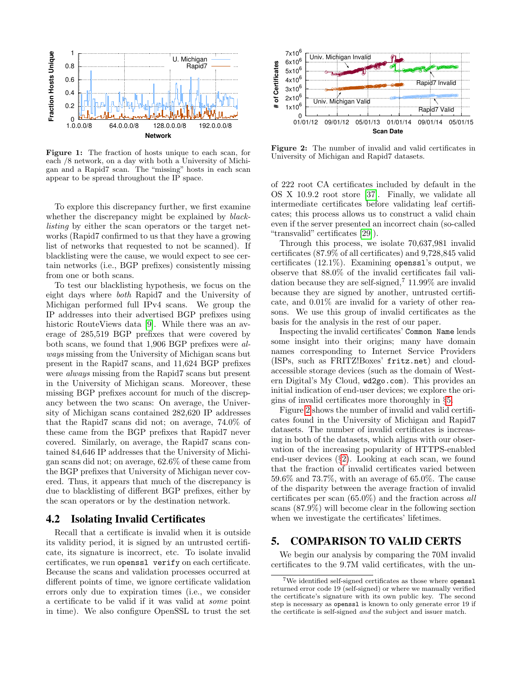<span id="page-3-1"></span>

Figure 1: The fraction of hosts unique to each scan, for each /8 network, on a day with both a University of Michigan and a Rapid7 scan. The "missing" hosts in each scan appear to be spread throughout the IP space.

To explore this discrepancy further, we first examine whether the discrepancy might be explained by *black*listing by either the scan operators or the target networks (Rapid7 confirmed to us that they have a growing list of networks that requested to not be scanned). If blacklisting were the cause, we would expect to see certain networks (i.e., BGP prefixes) consistently missing from one or both scans.

To test our blacklisting hypothesis, we focus on the eight days where both Rapid7 and the University of Michigan performed full IPv4 scans. We group the IP addresses into their advertised BGP prefixes using historic RouteViews data [\[9\]](#page-13-7). While there was an average of 285,519 BGP prefixes that were covered by both scans, we found that 1,906 BGP prefixes were always missing from the University of Michigan scans but present in the Rapid7 scans, and 11,624 BGP prefixes were always missing from the Rapid7 scans but present in the University of Michigan scans. Moreover, these missing BGP prefixes account for much of the discrepancy between the two scans: On average, the University of Michigan scans contained 282,620 IP addresses that the Rapid7 scans did not; on average, 74.0% of these came from the BGP prefixes that Rapid7 never covered. Similarly, on average, the Rapid7 scans contained 84,646 IP addresses that the University of Michigan scans did not; on average, 62.6% of these came from the BGP prefixes that University of Michigan never covered. Thus, it appears that much of the discrepancy is due to blacklisting of different BGP prefixes, either by the scan operators or by the destination network.

## 4.2 Isolating Invalid Certificates

Recall that a certificate is invalid when it is outside its validity period, it is signed by an untrusted certificate, its signature is incorrect, etc. To isolate invalid certificates, we run openssl verify on each certificate. Because the scans and validation processes occurred at different points of time, we ignore certificate validation errors only due to expiration times (i.e., we consider a certificate to be valid if it was valid at some point in time). We also configure OpenSSL to trust the set

<span id="page-3-2"></span>

Figure 2: The number of invalid and valid certificates in University of Michigan and Rapid7 datasets.

of 222 root CA certificates included by default in the OS X 10.9.2 root store [\[37\]](#page-14-24). Finally, we validate all intermediate certificates before validating leaf certificates; this process allows us to construct a valid chain even if the server presented an incorrect chain (so-called "transvalid" certificates [\[29\]](#page-14-25)).

Through this process, we isolate 70,637,981 invalid certificates (87.9% of all certificates) and 9,728,845 valid certificates (12.1%). Examining openssl's output, we observe that 88.0% of the invalid certificates fail validation because they are self-signed,<sup>7</sup> 11.99% are invalid because they are signed by another, untrusted certificate, and 0.01% are invalid for a variety of other reasons. We use this group of invalid certificates as the basis for the analysis in the rest of our paper.

Inspecting the invalid certificates' Common Name lends some insight into their origins; many have domain names corresponding to Internet Service Providers (ISPs, such as FRITZ!Boxes' fritz.net) and cloudaccessible storage devices (such as the domain of Western Digital's My Cloud, wd2go.com). This provides an initial indication of end-user devices; we explore the origins of invalid certificates more thoroughly in §[5.](#page-3-0)

Figure [2](#page-3-2) shows the number of invalid and valid certificates found in the University of Michigan and Rapid7 datasets. The number of invalid certificates is increasing in both of the datasets, which aligns with our observation of the increasing popularity of HTTPS-enabled end-user devices  $(\S2)$  $(\S2)$ . Looking at each scan, we found that the fraction of invalid certificates varied between 59.6% and 73.7%, with an average of 65.0%. The cause of the disparity between the average fraction of invalid certificates per scan (65.0%) and the fraction across all scans (87.9%) will become clear in the following section when we investigate the certificates' lifetimes.

## <span id="page-3-0"></span>5. COMPARISON TO VALID CERTS

We begin our analysis by comparing the 70M invalid certificates to the 9.7M valid certificates, with the un-

<sup>7</sup>We identified self-signed certificates as those where openssl returned error code 19 (self-signed) or where we manually verified the certificate's signature with its own public key. The second step is necessary as openssl is known to only generate error 19 if the certificate is self-signed and the subject and issuer match.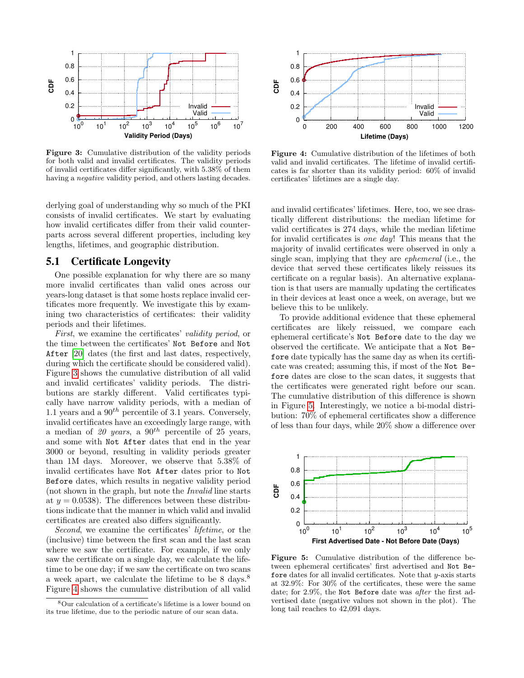<span id="page-4-0"></span>

Figure 3: Cumulative distribution of the validity periods for both valid and invalid certificates. The validity periods of invalid certificates differ significantly, with 5.38% of them having a negative validity period, and others lasting decades.

derlying goal of understanding why so much of the PKI consists of invalid certificates. We start by evaluating how invalid certificates differ from their valid counterparts across several different properties, including key lengths, lifetimes, and geographic distribution.

## <span id="page-4-3"></span>5.1 Certificate Longevity

One possible explanation for why there are so many more invalid certificates than valid ones across our years-long dataset is that some hosts replace invalid certificates more frequently. We investigate this by examining two characteristics of certificates: their validity periods and their lifetimes.

First, we examine the certificates' validity period, or the time between the certificates' Not Before and Not After [\[20\]](#page-14-26) dates (the first and last dates, respectively, during which the certificate should be considered valid). Figure [3](#page-4-0) shows the cumulative distribution of all valid and invalid certificates' validity periods. The distributions are starkly different. Valid certificates typically have narrow validity periods, with a median of 1.1 years and a  $90^{th}$  percentile of 3.1 years. Conversely, invalid certificates have an exceedingly large range, with a median of 20 years, a  $90^{th}$  percentile of 25 years, and some with Not After dates that end in the year 3000 or beyond, resulting in validity periods greater than 1M days. Moreover, we observe that 5.38% of invalid certificates have Not After dates prior to Not Before dates, which results in negative validity period (not shown in the graph, but note the Invalid line starts at  $y = 0.0538$ . The differences between these distributions indicate that the manner in which valid and invalid certificates are created also differs significantly.

Second, we examine the certificates' lifetime, or the (inclusive) time between the first scan and the last scan where we saw the certificate. For example, if we only saw the certificate on a single day, we calculate the lifetime to be one day; if we saw the certificate on two scans a week apart, we calculate the lifetime to be 8 days.<sup>8</sup> Figure [4](#page-4-1) shows the cumulative distribution of all valid

<span id="page-4-1"></span>

Figure 4: Cumulative distribution of the lifetimes of both valid and invalid certificates. The lifetime of invalid certificates is far shorter than its validity period: 60% of invalid certificates' lifetimes are a single day.

and invalid certificates' lifetimes. Here, too, we see drastically different distributions: the median lifetime for valid certificates is 274 days, while the median lifetime for invalid certificates is one day! This means that the majority of invalid certificates were observed in only a single scan, implying that they are ephemeral (i.e., the device that served these certificates likely reissues its certificate on a regular basis). An alternative explanation is that users are manually updating the certificates in their devices at least once a week, on average, but we believe this to be unlikely.

To provide additional evidence that these ephemeral certificates are likely reissued, we compare each ephemeral certificate's Not Before date to the day we observed the certificate. We anticipate that a Not Before date typically has the same day as when its certificate was created; assuming this, if most of the Not Before dates are close to the scan dates, it suggests that the certificates were generated right before our scan. The cumulative distribution of this difference is shown in Figure [5.](#page-4-2) Interestingly, we notice a bi-modal distribution: 70% of ephemeral certificates show a difference of less than four days, while 20% show a difference over

<span id="page-4-2"></span>

Figure 5: Cumulative distribution of the difference between ephemeral certificates' first advertised and Not Before dates for all invalid certificates. Note that  $y$ -axis starts at 32.9%: For 30% of the certificates, these were the same date; for 2.9%, the Not Before date was after the first advertised date (negative values not shown in the plot). The long tail reaches to 42,091 days.

<sup>8</sup>Our calculation of a certificate's lifetime is a lower bound on its true lifetime, due to the periodic nature of our scan data.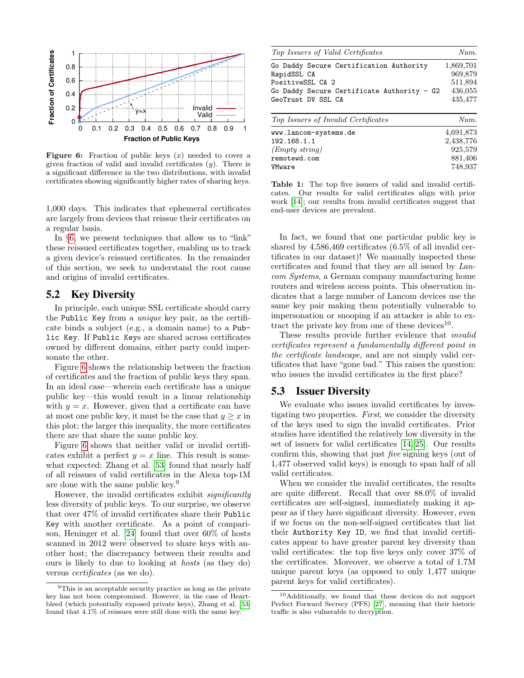<span id="page-5-0"></span>

**Figure 6:** Fraction of public keys  $(x)$  needed to cover a given fraction of valid and invalid certificates  $(y)$ . There is a significant difference in the two distributions, with invalid certificates showing significantly higher rates of sharing keys.

1,000 days. This indicates that ephemeral certificates are largely from devices that reissue their certificates on a regular basis.

In §[6,](#page-7-0) we present techniques that allow us to "link" these reissued certificates together, enabling us to track a given device's reissued certificates. In the remainder of this section, we seek to understand the root cause and origins of invalid certificates.

# <span id="page-5-2"></span>5.2 Key Diversity

In principle, each unique SSL certificate should carry the Public Key from a unique key pair, as the certificate binds a subject (e.g., a domain name) to a Public Key. If Public Keys are shared across certificates owned by different domains, either party could impersonate the other.

Figure [6](#page-5-0) shows the relationship between the fraction of certificates and the fraction of public keys they span. In an ideal case—wherein each certificate has a unique public key—this would result in a linear relationship with  $y = x$ . However, given that a certificate can have at most one public key, it must be the case that  $y \geq x$  in this plot; the larger this inequality, the more certificates there are that share the same public key.

Figure [6](#page-5-0) shows that neither valid or invalid certificates exhibit a perfect  $y = x$  line. This result is somewhat expected: Zhang et al. [\[53\]](#page-14-5) found that nearly half of all reissues of valid certificates in the Alexa top-1M are done with the same public key.<sup>9</sup>

However, the invalid certificates exhibit significantly less diversity of public keys. To our surprise, we observe that over 47% of invalid certificates share their Public Key with another certificate. As a point of comparison, Heninger et al. [\[24\]](#page-14-27) found that over 60% of hosts scanned in 2012 were observed to share keys with another host; the discrepancy between their results and ours is likely to due to looking at hosts (as they do) versus certificates (as we do).

<span id="page-5-1"></span>

| Top Issuers of Valid Certificates          | Num.      |
|--------------------------------------------|-----------|
| Go Daddy Secure Certification Authority    | 1,869,701 |
| RapidSSL CA                                | 969,879   |
| PositiveSSL CA 2                           | 511,894   |
| Go Daddy Secure Certificate Authority - G2 | 436,055   |
| GeoTrust DV SSL CA                         | 435,477   |
| Top Issuers of Invalid Certificates        | Num.      |
| www.lancom-systems.de                      | 4,691,873 |
| 192.168.1.1                                | 2,438,776 |
| $(Empty\ string)$                          | 925,579   |

Table 1: The top five issuers of valid and invalid certificates. Our results for valid certificates align with prior work [\[14\]](#page-14-1); our results from invalid certificates suggest that end-user devices are prevalent.

remotewd.com 881,406 VMware 748,937

In fact, we found that one particular public key is shared by 4,586,469 certificates (6.5% of all invalid certificates in our dataset)! We manually inspected these certificates and found that they are all issued by Lancom Systems, a German company manufacturing home routers and wireless access points. This observation indicates that a large number of Lancom devices use the same key pair making them potentially vulnerable to impersonation or snooping if an attacker is able to extract the private key from one of these devices<sup>10</sup>.

These results provide further evidence that invalid certificates represent a fundamentally different point in the certificate landscape, and are not simply valid certificates that have "gone bad." This raises the question: who issues the invalid certificates in the first place?

## 5.3 Issuer Diversity

We evaluate who issues invalid certificates by investigating two properties. First, we consider the diversity of the keys used to sign the invalid certificates. Prior studies have identified the relatively low diversity in the set of issuers for valid certificates [\[14,](#page-14-1) [25\]](#page-14-3). Our results confirm this, showing that just five signing keys (out of 1,477 observed valid keys) is enough to span half of all valid certificates.

When we consider the invalid certificates, the results are quite different. Recall that over 88.0% of invalid certificates are self-signed, immediately making it appear as if they have significant diversity. However, even if we focus on the non-self-signed certificates that list their Authority Key ID, we find that invalid certificates appear to have greater parent key diversity than valid certificates: the top five keys only cover 37% of the certificates. Moreover, we observe a total of 1.7M unique parent keys (as opposed to only 1,477 unique parent keys for valid certificates).

 $^9\mathrm{This}$  is an acceptable security practice as long as the private key has not been compromised. However, in the case of Heartbleed (which potentially exposed private keys), Zhang et al. [\[53\]](#page-14-5) found that 4.1% of reissues were still done with the same key.

<sup>10</sup>Additionally, we found that these devices do not support Perfect Forward Secrecy (PFS) [\[27\]](#page-14-28), meaning that their historic traffic is also vulnerable to decryption.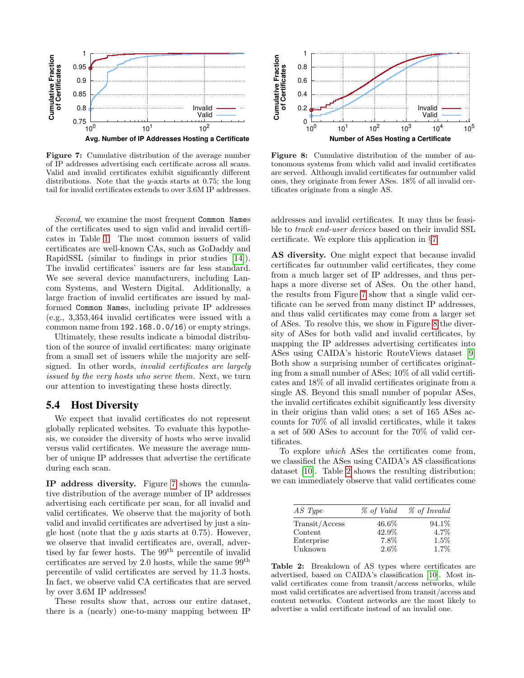<span id="page-6-0"></span>

Figure 7: Cumulative distribution of the average number of IP addresses advertising each certificate across all scans. Valid and invalid certificates exhibit significantly different distributions. Note that the y-axis starts at 0.75; the long tail for invalid certificates extends to over 3.6M IP addresses.

Second, we examine the most frequent Common Names of the certificates used to sign valid and invalid certificates in Table [1.](#page-5-1) The most common issuers of valid certificates are well-known CAs, such as GoDaddy and RapidSSL (similar to findings in prior studies [\[14\]](#page-14-1)). The invalid certificates' issuers are far less standard. We see several device manufacturers, including Lancom Systems, and Western Digital. Additionally, a large fraction of invalid certificates are issued by malformed Common Names, including private IP addresses (e.g., 3,353,464 invalid certificates were issued with a common name from 192.168.0.0/16) or empty strings.

Ultimately, these results indicate a bimodal distribution of the source of invalid certificates: many originate from a small set of issuers while the majority are selfsigned. In other words, invalid certificates are largely issued by the very hosts who serve them. Next, we turn our attention to investigating these hosts directly.

## <span id="page-6-3"></span>5.4 Host Diversity

We expect that invalid certificates do not represent globally replicated websites. To evaluate this hypothesis, we consider the diversity of hosts who serve invalid versus valid certificates. We measure the average number of unique IP addresses that advertise the certificate during each scan.

IP address diversity. Figure [7](#page-6-0) shows the cumulative distribution of the average number of IP addresses advertising each certificate per scan, for all invalid and valid certificates. We observe that the majority of both valid and invalid certificates are advertised by just a single host (note that the  $y$  axis starts at 0.75). However, we observe that invalid certificates are, overall, advertised by far fewer hosts. The 99<sup>th</sup> percentile of invalid certificates are served by 2.0 hosts, while the same  $99<sup>th</sup>$ percentile of valid certificates are served by 11.3 hosts. In fact, we observe valid CA certificates that are served by over 3.6M IP addresses!

These results show that, across our entire dataset, there is a (nearly) one-to-many mapping between IP

<span id="page-6-1"></span>

Figure 8: Cumulative distribution of the number of autonomous systems from which valid and invalid certificates are served. Although invalid certificates far outnumber valid ones, they originate from fewer ASes. 18% of all invalid certificates originate from a single AS.

addresses and invalid certificates. It may thus be feasible to track end-user devices based on their invalid SSL certificate. We explore this application in §[7.](#page-11-0)

AS diversity. One might expect that because invalid certificates far outnumber valid certificates, they come from a much larger set of IP addresses, and thus perhaps a more diverse set of ASes. On the other hand, the results from Figure [7](#page-6-0) show that a single valid certificate can be served from many distinct IP addresses, and thus valid certificates may come from a larger set of ASes. To resolve this, we show in Figure [8](#page-6-1) the diversity of ASes for both valid and invalid certificates, by mapping the IP addresses advertising certificates into ASes using CAIDA's historic RouteViews dataset [\[9\]](#page-13-7) Both show a surprising number of certificates originating from a small number of ASes; 10% of all valid certificates and 18% of all invalid certificates originate from a single AS. Beyond this small number of popular ASes, the invalid certificates exhibit significantly less diversity in their origins than valid ones; a set of 165 ASes accounts for 70% of all invalid certificates, while it takes a set of 500 ASes to account for the 70% of valid certificates.

To explore which ASes the certificates come from, we classified the ASes using CAIDA's AS classifications dataset [\[10\]](#page-13-8). Table [2](#page-6-2) shows the resulting distribution; we can immediately observe that valid certificates come

<span id="page-6-2"></span>

| AS Type        | % of Valid | % of Invalid |
|----------------|------------|--------------|
| Transit/Access | 46.6%      | $94.1\%$     |
| Content        | 42.9%      | $4.7\%$      |
| Enterprise     | 7.8%       | $1.5\%$      |
| Unknown        | $2.6\%$    | 1.7%         |

Table 2: Breakdown of AS types where certificates are advertised, based on CAIDA's classification [\[10\]](#page-13-8). Most invalid certificates come from transit/access networks, while most valid certificates are advertised from transit/access and content networks. Content networks are the most likely to advertise a valid certificate instead of an invalid one.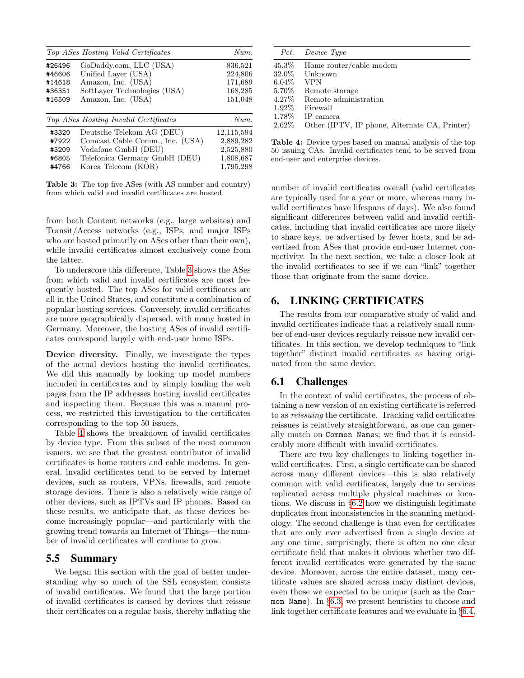<span id="page-7-1"></span>

|        | Top ASes Hosting Valid Certificates   | Num.       |
|--------|---------------------------------------|------------|
| #26496 | GoDaddy.com, LLC (USA)                | 836,521    |
| #46606 | Unified Layer (USA)                   | 224,806    |
| #14618 | Amazon, Inc. (USA)                    | 171,689    |
| #36351 | SoftLayer Technologies (USA)          | 168,285    |
| #16509 | Amazon, Inc. (USA)                    | 151,048    |
|        |                                       |            |
|        | Top ASes Hosting Invalid Certificates | Num.       |
| #3320  | Deutsche Telekom AG (DEU)             | 12,115,594 |
| #7922  | Comcast Cable Comm., Inc. (USA)       | 2,889,282  |
| #3209  | Vodafone GmbH (DEU)                   | 2,525,880  |
| #6805  | Telefonica Germany GmbH (DEU)         | 1,808,687  |
| #4766  | Korea Telecom (KOR)                   | 1,795,298  |

Table 3: The top five ASes (with AS number and country) from which valid and invalid certificates are hosted.

from both Content networks (e.g., large websites) and Transit/Access networks (e.g., ISPs, and major ISPs who are hosted primarily on ASes other than their own), while invalid certificates almost exclusively come from the latter.

To underscore this difference, Table [3](#page-7-1) shows the ASes from which valid and invalid certificates are most frequently hosted. The top ASes for valid certificates are all in the United States, and constitute a combination of popular hosting services. Conversely, invalid certificates are more geographically dispersed, with many hosted in Germany. Moreover, the hosting ASes of invalid certificates correspond largely with end-user home ISPs.

Device diversity. Finally, we investigate the types of the actual devices hosting the invalid certificates. We did this manually by looking up model numbers included in certificates and by simply loading the web pages from the IP addresses hosting invalid certificates and inspecting them. Because this was a manual process, we restricted this investigation to the certificates corresponding to the top 50 issuers.

Table [4](#page-7-2) shows the breakdown of invalid certificates by device type. From this subset of the most common issuers, we see that the greatest contributor of invalid certificates is home routers and cable modems. In general, invalid certificates tend to be served by Internet devices, such as routers, VPNs, firewalls, and remote storage devices. There is also a relatively wide range of other devices, such as IPTVs and IP phones. Based on these results, we anticipate that, as these devices become increasingly popular—and particularly with the growing trend towards an Internet of Things—the number of invalid certificates will continue to grow.

## 5.5 Summary

We began this section with the goal of better understanding why so much of the SSL ecosystem consists of invalid certificates. We found that the large portion of invalid certificates is caused by devices that reissue their certificates on a regular basis, thereby inflating the

<span id="page-7-2"></span>

| Pct.     | Device Type                                   |
|----------|-----------------------------------------------|
| 45.3%    | Home router/cable modem                       |
| 32.0%    | Unknown                                       |
| $6.04\%$ | <b>VPN</b>                                    |
| 5.70%    | Remote storage                                |
| $4.27\%$ | Remote administration                         |
| 1.92%    | Firewall                                      |
| 1.78%    | IP camera                                     |
| $2.62\%$ | Other (IPTV, IP phone, Alternate CA, Printer) |

Table 4: Device types based on manual analysis of the top 50 issuing CAs. Invalid certificates tend to be served from end-user and enterprise devices.

number of invalid certificates overall (valid certificates are typically used for a year or more, whereas many invalid certificates have lifespans of days). We also found significant differences between valid and invalid certificates, including that invalid certificates are more likely to share keys, be advertised by fewer hosts, and be advertised from ASes that provide end-user Internet connectivity. In the next section, we take a closer look at the invalid certificates to see if we can "link" together those that originate from the same device.

# <span id="page-7-0"></span>6. LINKING CERTIFICATES

The results from our comparative study of valid and invalid certificates indicate that a relatively small number of end-user devices regularly reissue new invalid certificates. In this section, we develop techniques to "link together" distinct invalid certificates as having originated from the same device.

## 6.1 Challenges

In the context of valid certificates, the process of obtaining a new version of an existing certificate is referred to as reissuing the certificate. Tracking valid certificates reissues is relatively straightforward, as one can generally match on Common Names; we find that it is considerably more difficult with invalid certificates.

There are two key challenges to linking together invalid certificates. First, a single certificate can be shared across many different devices—this is also relatively common with valid certificates, largely due to services replicated across multiple physical machines or locations. We discuss in §[6.2](#page-8-0) how we distinguish legitimate duplicates from inconsistencies in the scanning methodology. The second challenge is that even for certificates that are only ever advertised from a single device at any one time, surprisingly, there is often no one clear certificate field that makes it obvious whether two different invalid certificates were generated by the same device. Moreover, across the entire dataset, many certificate values are shared across many distinct devices, even those we expected to be unique (such as the Common Name). In §[6.3,](#page-8-1) we present heuristics to choose and link together certificate features and we evaluate in §[6.4.](#page-9-0)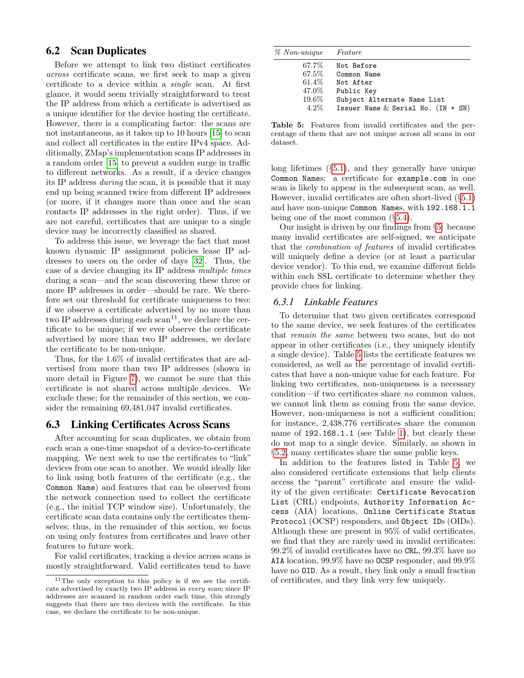## <span id="page-8-0"></span>6.2 Scan Duplicates

Before we attempt to link two distinct certificates across certificate scans, we first seek to map a given certificate to a device within a single scan. At first glance, it would seem trivially straightforward to treat the IP address from which a certificate is advertised as a unique identifier for the device hosting the certificate. However, there is a complicating factor: the scans are not instantaneous, as it takes up to 10 hours [\[15\]](#page-14-29) to scan and collect all certificates in the entire IPv4 space. Additionally, ZMap's implementation scans IP addresses in a random order [\[15\]](#page-14-29) to prevent a sudden surge in traffic to different networks. As a result, if a device changes its IP address during the scan, it is possible that it may end up being scanned twice from different IP addresses (or more, if it changes more than once and the scan contacts IP addresses in the right order). Thus, if we are not careful, certificates that are unique to a single device may be incorrectly classified as shared.

To address this issue, we leverage the fact that most known dynamic IP assignment policies lease IP addresses to users on the order of days [\[32\]](#page-14-30). Thus, the case of a device changing its IP address multiple times during a scan—and the scan discovering these three or more IP addresses in order—should be rare. We therefore set our threshold for certificate uniqueness to two: if we observe a certificate advertised by no more than two IP addresses during each scan<sup>11</sup>, we declare the certificate to be unique; if we ever observe the certificate advertised by more than two IP addresses, we declare the certificate to be non-unique.

Thus, for the 1.6% of invalid certificates that are advertised from more than two IP addresses (shown in more detail in Figure [7\)](#page-6-0), we cannot be sure that this certificate is not shared across multiple devices. We exclude these; for the remainder of this section, we consider the remaining 69,481,047 invalid certificates.

## <span id="page-8-1"></span>6.3 Linking Certificates Across Scans

After accounting for scan duplicates, we obtain from each scan a one-time snapshot of a device-to-certificate mapping. We next seek to use the certificates to "link" devices from one scan to another. We would ideally like to link using both features of the certificate (e.g., the Common Name) and features that can be observed from the network connection used to collect the certificate (e.g., the initial TCP window size). Unfortunately, the certificate scan data contains only the certificates themselves; thus, in the remainder of this section, we focus on using only features from certificates and leave other features to future work.

For valid certificates, tracking a device across scans is mostly straightforward. Valid certificates tend to have

<span id="page-8-2"></span>

| $% Non-unique$ | Feature                               |
|----------------|---------------------------------------|
| 67.7%          | Not Before                            |
| 67.5%          | Common Name                           |
| $61.4\%$       | Not After                             |
| 47.0%          | Public Key                            |
| $19.6\%$       | Subject Alternate Name List           |
| $4.2\%$        | Issuer Name $\&$ Serial No. (IN + SN) |

Table 5: Features from invalid certificates and the percentage of them that are not unique across all scans in our dataset.

long lifetimes (§[5.1\)](#page-4-3), and they generally have unique Common Names: a certificate for example.com in one scan is likely to appear in the subsequent scan, as well. However, invalid certificates are often short-lived (§[5.1\)](#page-4-3) and have non-unique Common Names, with 192.168.1.1 being one of the most common  $(\S 5.4)$  $(\S 5.4)$ .

Our insight is driven by our findings from §[5:](#page-3-0) because many invalid certificates are self-signed, we anticipate that the combination of features of invalid certificates will uniquely define a device (or at least a particular device vendor). To this end, we examine different fields within each SSL certificate to determine whether they provide clues for linking.

#### <span id="page-8-3"></span>*6.3.1 Linkable Features*

To determine that two given certificates correspond to the same device, we seek features of the certificates that remain the same between two scans, but do not appear in other certificates (i.e., they uniquely identify a single device). Table [5](#page-8-2) lists the certificate features we considered, as well as the percentage of invalid certificates that have a non-unique value for each feature. For linking two certificates, non-uniqueness is a necessary condition—if two certificates share no common values, we cannot link them as coming from the same device. However, non-uniqueness is not a sufficient condition; for instance, 2,438,776 certificates share the common name of 192.168.1.1 (see Table [1\)](#page-5-1), but clearly these do not map to a single device. Similarly, as shown in §[5.2,](#page-5-2) many certificates share the same public keys.

In addition to the features listed in Table [5,](#page-8-2) we also considered certificate extensions that help clients access the "parent" certificate and ensure the validity of the given certificate: Certificate Revocation List (CRL) endpoints, Authority Information Access (AIA) locations, Online Certificate Status Protocol (OCSP) responders, and Object IDs (OIDs). Although these are present in 95% of valid certificates, we find that they are rarely used in invalid certificates: 99.2% of invalid certificates have no CRL, 99.3% have no AIA location, 99.9% have no OCSP responder, and 99.9% have no OID. As a result, they link only a small fraction of certificates, and they link very few uniquely.

<sup>11</sup>The only exception to this policy is if we see the certificate advertised by exactly two IP address in every scan; since IP addresses are scanned in random order each time, this strongly suggests that there are two devices with the certificate. In this case, we declare the certificate to be non-unique.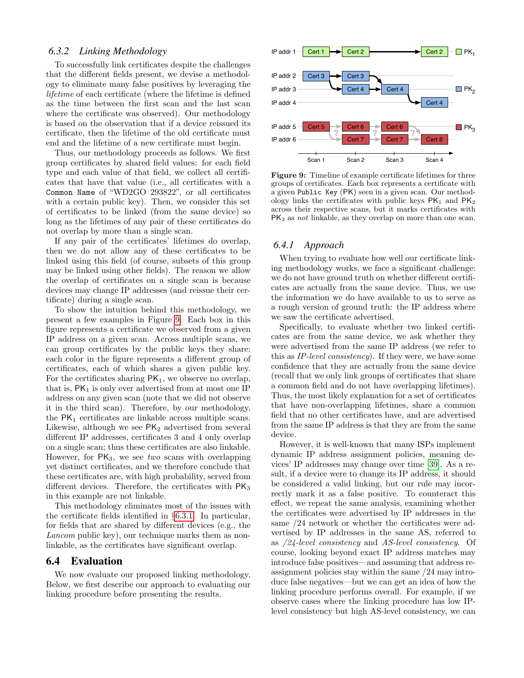## *6.3.2 Linking Methodology*

To successfully link certificates despite the challenges that the different fields present, we devise a methodology to eliminate many false positives by leveraging the lifetime of each certificate (where the lifetime is defined as the time between the first scan and the last scan where the certificate was observed). Our methodology is based on the observation that if a device reissued its certificate, then the lifetime of the old certificate must end and the lifetime of a new certificate must begin.

Thus, our methodology proceeds as follows. We first group certificates by shared field values: for each field type and each value of that field, we collect all certificates that have that value (i.e., all certificates with a Common Name of "WD2GO 293822", or all certificates with a certain public key). Then, we consider this set of certificates to be linked (from the same device) so long as the lifetimes of any pair of these certificates do not overlap by more than a single scan.

If any pair of the certificates' lifetimes do overlap, then we do not allow any of these certificates to be linked using this field (of course, subsets of this group may be linked using other fields). The reason we allow the overlap of certificates on a single scan is because devices may change IP addresses (and reissue their certificate) during a single scan.

To show the intuition behind this methodology, we present a few examples in Figure [9.](#page-9-1) Each box in this figure represents a certificate we observed from a given IP address on a given scan. Across multiple scans, we can group certificates by the public keys they share; each color in the figure represents a different group of certificates, each of which shares a given public key. For the certificates sharing  $PK_1$ , we observe no overlap, that is,  $PK_1$  is only ever advertised from at most one IP address on any given scan (note that we did not observe it in the third scan). Therefore, by our methodology, the  $PK_1$  certificates are linkable across multiple scans. Likewise, although we see  $PK<sub>2</sub>$  advertised from several different IP addresses, certificates 3 and 4 only overlap on a single scan; thus these certificates are also linkable. However, for  $PK_3$ , we see two scans with overlapping yet distinct certificates, and we therefore conclude that these certificates are, with high probability, served from different devices. Therefore, the certificates with  $PK<sub>3</sub>$ in this example are not linkable.

This methodology eliminates most of the issues with the certificate fields identified in §[6.3.1.](#page-8-3) In particular, for fields that are shared by different devices (e.g., the Lancom public key), our technique marks them as nonlinkable, as the certificates have significant overlap.

#### <span id="page-9-0"></span>6.4 Evaluation

We now evaluate our proposed linking methodology. Below, we first describe our approach to evaluating our linking procedure before presenting the results.

<span id="page-9-1"></span>

Figure 9: Timeline of example certificate lifetimes for three groups of certificates. Each box represents a certificate with a given Public Key (PK) seen in a given scan. Our methodology links the certificates with public keys  $PK_1$  and  $PK_2$ across their respective scans, but it marks certificates with PK<sub>3</sub> as *not* linkable, as they overlap on more than one scan.

#### *6.4.1 Approach*

When trying to evaluate how well our certificate linking methodology works, we face a significant challenge: we do not have ground truth on whether different certificates are actually from the same device. Thus, we use the information we do have available to us to serve as a rough version of ground truth: the IP address where we saw the certificate advertised.

Specifically, to evaluate whether two linked certificates are from the same device, we ask whether they were advertised from the same IP address (we refer to this as IP-level consistency). If they were, we have some confidence that they are actually from the same device (recall that we only link groups of certificates that share a common field and do not have overlapping lifetimes). Thus, the most likely explanation for a set of certificates that have non-overlapping lifetimes, share a common field that no other certificates have, and are advertised from the same IP address is that they are from the same device.

However, it is well-known that many ISPs implement dynamic IP address assignment policies, meaning devices' IP addresses may change over time [\[39\]](#page-14-31). As a result, if a device were to change its IP address, it should be considered a valid linking, but our rule may incorrectly mark it as a false positive. To counteract this effect, we repeat the same analysis, examining whether the certificates were advertised by IP addresses in the same /24 network or whether the certificates were advertised by IP addresses in the same AS, referred to as /24-level consistency and AS-level consistency. Of course, looking beyond exact IP address matches may introduce false positives—and assuming that address reassignment policies stay within the same /24 may introduce false negatives—but we can get an idea of how the linking procedure performs overall. For example, if we observe cases where the linking procedure has low IPlevel consistency but high AS-level consistency, we can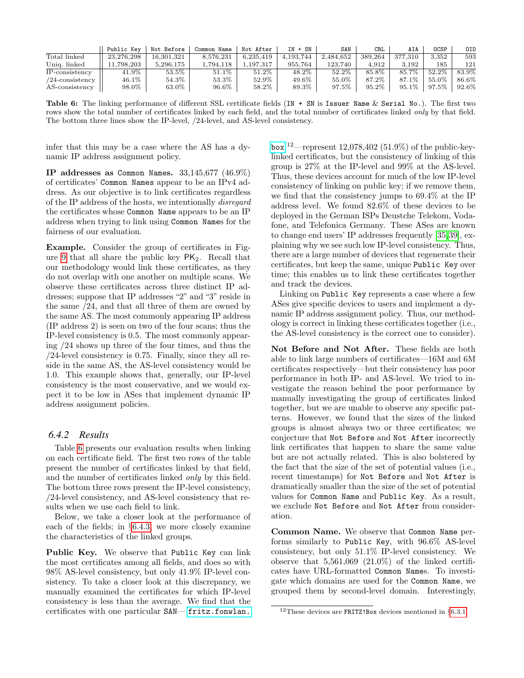<span id="page-10-0"></span>

|                    | Public Kev | Not Before | Common Name | Not After | $IN + SN$ | SAN       | CRL     | AIA      | OCSP  | 0ID      |
|--------------------|------------|------------|-------------|-----------|-----------|-----------|---------|----------|-------|----------|
| Total linked       | 23.276.298 | 16.301.321 | 8.576.231   | 6.235.419 | 4.193.744 | 2.484.652 | 389.264 | 377.310  | 3.352 | 593      |
| Unig. linked       | 11.798.203 | 5.296.175  | 1.794.118   | .197.317  | 955,764   | 123.740   | 4.912   | 3.192    | 185   | 121      |
| IP-consistency     | $41.9\%$   | 53.5%      | $51.1\%$    | $51.2\%$  | 48.2%     | 52.2%     | 85.8%   | 85.7%    | 52.2% | 83.9%    |
| $/24$ -consistency | 46.1%      | $54.3\%$   | 53.3%       | 52.9%     | 49.6%     | 55.0%     | 87.2%   | 87.1%    | 55.0% | $86.6\%$ |
| AS-consistency     | 98.0%      | $63.0\%$   | $96.6\%$    | 58.2%     | 89.3%     | 97.5%     | 95.2%   | $95.1\%$ | 97.5% | $92.6\%$ |

Table 6: The linking performance of different SSL certificate fields (IN + SN is Issuer Name & Serial No.). The first two rows show the total number of certificates linked by each field, and the total number of certificates linked only by that field. The bottom three lines show the IP-level, /24-level, and AS-level consistency.

infer that this may be a case where the AS has a dynamic IP address assignment policy.

IP addresses as Common Names. 33,145,677 (46.9%) of certificates' Common Names appear to be an IPv4 address. As our objective is to link certificates regardless of the IP address of the hosts, we intentionally disregard the certificates whose Common Name appears to be an IP address when trying to link using Common Names for the fairness of our evaluation.

Example. Consider the group of certificates in Fig-ure [9](#page-9-1) that all share the public key  $PK_2$ . Recall that our methodology would link these certificates, as they do not overlap with one another on multiple scans. We observe these certificates across three distinct IP addresses; suppose that IP addresses "2" and "3" reside in the same /24, and that all three of them are owned by the same AS. The most commonly appearing IP address (IP address 2) is seen on two of the four scans; thus the IP-level consistency is 0.5. The most commonly appearing /24 shows up three of the four times, and thus the /24-level consistency is 0.75. Finally, since they all reside in the same AS, the AS-level consistency would be 1.0. This example shows that, generally, our IP-level consistency is the most conservative, and we would expect it to be low in ASes that implement dynamic IP address assignment policies.

#### *6.4.2 Results*

Table [6](#page-10-0) presents our evaluation results when linking on each certificate field. The first two rows of the table present the number of certificates linked by that field, and the number of certificates linked only by this field. The bottom three rows present the IP-level consistency, /24-level consistency, and AS-level consistency that results when we use each field to link.

Below, we take a closer look at the performance of each of the fields; in §[6.4.3,](#page-11-1) we more closely examine the characteristics of the linked groups.

Public Key. We observe that Public Key can link the most certificates among all fields, and does so with 98% AS-level consistency, but only 41.9% IP-level consistency. To take a closer look at this discrepancy, we manually examined the certificates for which IP-level consistency is less than the average. We find that the certificates with one particular SAN—[[fritz.fonwlan.](fritz.fonwlan.box)

[box](fritz.fonwlan.box)]<sup>12</sup>—represent 12,078,402 (51.9%) of the public-keylinked certificates, but the consistency of linking of this group is 27% at the IP-level and 99% at the AS-level. Thus, these devices account for much of the low IP-level consistency of linking on public key; if we remove them, we find that the consistency jumps to 69.4% at the IP address level. We found 82.6% of these devices to be deployed in the German ISPs Deustche Telekom, Vodafone, and Telefonica Germany. These ASes are known to change end users' IP addresses frequently [\[35,](#page-14-32)[39\]](#page-14-31), explaining why we see such low IP-level consistency. Thus, there are a large number of devices that regenerate their certificates, but keep the same, unique Public Key over time; this enables us to link these certificates together and track the devices.

Linking on Public Key represents a case where a few ASes give specific devices to users and implement a dynamic IP address assignment policy. Thus, our methodology is correct in linking these certificates together (i.e., the AS-level consistency is the correct one to consider).

Not Before and Not After. These fields are both able to link large numbers of certificates—16M and 6M certificates respectively—but their consistency has poor performance in both IP- and AS-level. We tried to investigate the reason behind the poor performance by manually investigating the group of certificates linked together, but we are unable to observe any specific patterns. However, we found that the sizes of the linked groups is almost always two or three certificates; we conjecture that Not Before and Not After incorrectly link certificates that happen to share the same value but are not actually related. This is also bolstered by the fact that the size of the set of potential values (i.e., recent timestamps) for Not Before and Not After is dramatically smaller than the size of the set of potential values for Common Name and Public Key. As a result, we exclude Not Before and Not After from consideration.

Common Name. We observe that Common Name performs similarly to Public Key, with 96.6% AS-level consistency, but only 51.1% IP-level consistency. We observe that  $5,561,069$   $(21.0\%)$  of the linked certificates have URL-formatted Common Names. To investigate which domains are used for the Common Name, we grouped them by second-level domain. Interestingly,

<sup>&</sup>lt;sup>12</sup>These devices are FRITZ!Box devices mentioned in  $\S 6.3.1$ .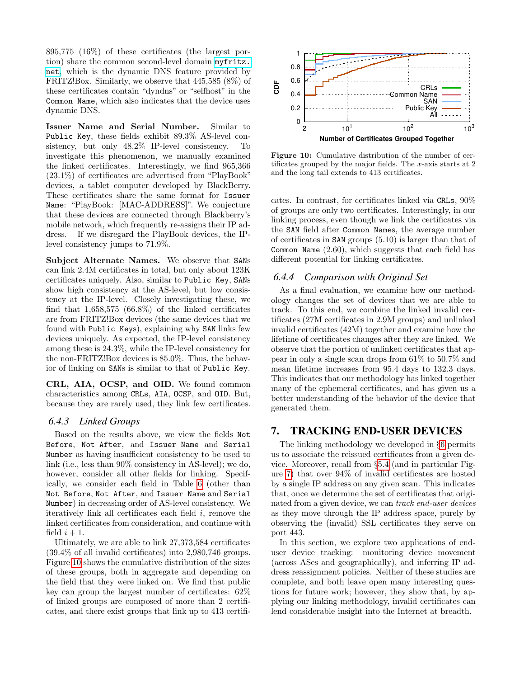895,775 (16%) of these certificates (the largest portion) share the common second-level domain [myfritz.](myfritz.net) [net](myfritz.net), which is the dynamic DNS feature provided by FRITZ!Box. Similarly, we observe that 445,585 (8%) of these certificates contain "dyndns" or "selfhost" in the Common Name, which also indicates that the device uses dynamic DNS.

Issuer Name and Serial Number. Similar to Public Key, these fields exhibit 89.3% AS-level consistency, but only 48.2% IP-level consistency. To investigate this phenomenon, we manually examined the linked certificates. Interestingly, we find 965,366 (23.1%) of certificates are advertised from "PlayBook" devices, a tablet computer developed by BlackBerry. These certificates share the same format for Issuer Name: "PlayBook: [MAC-ADDRESS]". We conjecture that these devices are connected through Blackberry's mobile network, which frequently re-assigns their IP address. If we disregard the PlayBook devices, the IPlevel consistency jumps to 71.9%.

Subject Alternate Names. We observe that SANs can link 2.4M certificates in total, but only about 123K certificates uniquely. Also, similar to Public Key, SANs show high consistency at the AS-level, but low consistency at the IP-level. Closely investigating these, we find that  $1,658,575$  (66.8%) of the linked certificates are from FRITZ!Box devices (the same devices that we found with Public Keys), explaining why SAN links few devices uniquely. As expected, the IP-level consistency among these is 24.3%, while the IP-level consistency for the non-FRITZ!Box devices is 85.0%. Thus, the behavior of linking on SANs is similar to that of Public Key.

CRL, AIA, OCSP, and OID. We found common characteristics among CRLs, AIA, OCSP, and OID. But, because they are rarely used, they link few certificates.

#### <span id="page-11-1"></span>*6.4.3 Linked Groups*

Based on the results above, we view the fields Not Before, Not After, and Issuer Name and Serial Number as having insufficient consistency to be used to link (i.e., less than 90% consistency in AS-level); we do, however, consider all other fields for linking. Specifically, we consider each field in Table [6](#page-10-0) (other than Not Before, Not After, and Issuer Name and Serial Number) in decreasing order of AS-level consistency. We iteratively link all certificates each field i, remove the linked certificates from consideration, and continue with field  $i + 1$ .

Ultimately, we are able to link 27,373,584 certificates (39.4% of all invalid certificates) into 2,980,746 groups. Figure [10](#page-11-2) shows the cumulative distribution of the sizes of these groups, both in aggregate and depending on the field that they were linked on. We find that public key can group the largest number of certificates: 62% of linked groups are composed of more than 2 certificates, and there exist groups that link up to 413 certifi-

<span id="page-11-2"></span>

Figure 10: Cumulative distribution of the number of certificates grouped by the major fields. The  $x$ -axis starts at 2 and the long tail extends to 413 certificates.

cates. In contrast, for certificates linked via CRLs, 90% of groups are only two certificates. Interestingly, in our linking process, even though we link the certificates via the SAN field after Common Names, the average number of certificates in SAN groups (5.10) is larger than that of Common Name (2.60), which suggests that each field has different potential for linking certificates.

#### *6.4.4 Comparison with Original Set*

As a final evaluation, we examine how our methodology changes the set of devices that we are able to track. To this end, we combine the linked invalid certificates (27M certificates in 2.9M groups) and unlinked invalid certificates (42M) together and examine how the lifetime of certificates changes after they are linked. We observe that the portion of unlinked certificates that appear in only a single scan drops from 61% to 50.7% and mean lifetime increases from 95.4 days to 132.3 days. This indicates that our methodology has linked together many of the ephemeral certificates, and has given us a better understanding of the behavior of the device that generated them.

## <span id="page-11-0"></span>7. TRACKING END-USER DEVICES

The linking methodology we developed in §[6](#page-7-0) permits us to associate the reissued certificates from a given device. Moreover, recall from §[5.4](#page-6-3) (and in particular Figure [7\)](#page-6-0) that over 94% of invalid certificates are hosted by a single IP address on any given scan. This indicates that, once we determine the set of certificates that originated from a given device, we can track end-user devices as they move through the IP address space, purely by observing the (invalid) SSL certificates they serve on port 443.

In this section, we explore two applications of enduser device tracking: monitoring device movement (across ASes and geographically), and inferring IP address reassignment policies. Neither of these studies are complete, and both leave open many interesting questions for future work; however, they show that, by applying our linking methodology, invalid certificates can lend considerable insight into the Internet at breadth.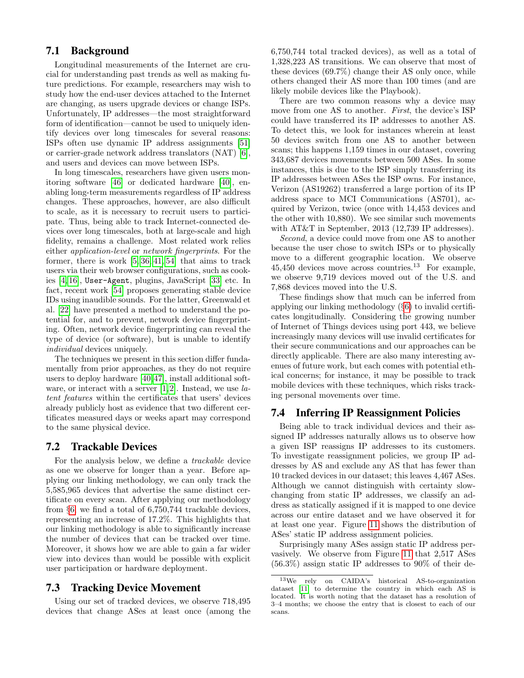# 7.1 Background

Longitudinal measurements of the Internet are crucial for understanding past trends as well as making future predictions. For example, researchers may wish to study how the end-user devices attached to the Internet are changing, as users upgrade devices or change ISPs. Unfortunately, IP addresses—the most straightforward form of identification—cannot be used to uniquely identify devices over long timescales for several reasons: ISPs often use dynamic IP address assignments [\[51\]](#page-14-33) or carrier-grade network address translators (NAT) [\[6\]](#page-13-9), and users and devices can move between ISPs.

In long timescales, researchers have given users monitoring software [\[46\]](#page-14-34) or dedicated hardware [\[40\]](#page-14-6), enabling long-term measurements regardless of IP address changes. These approaches, however, are also difficult to scale, as it is necessary to recruit users to participate. Thus, being able to track Internet-connected devices over long timescales, both at large-scale and high fidelity, remains a challenge. Most related work relies either application-level or network fingerprints. For the former, there is work [\[5,](#page-13-10) [36,](#page-14-35) [41,](#page-14-36) [54\]](#page-14-37) that aims to track users via their web browser configurations, such as cookies [\[4,](#page-13-11) [16\]](#page-14-38), User-Agent, plugins, JavaScript [\[33\]](#page-14-39) etc. In fact, recent work [\[54\]](#page-14-37) proposes generating stable device IDs using inaudible sounds. For the latter, Greenwald et al. [\[22\]](#page-14-40) have presented a method to understand the potential for, and to prevent, network device fingerprinting. Often, network device fingerprinting can reveal the type of device (or software), but is unable to identify individual devices uniquely.

The techniques we present in this section differ fundamentally from prior approaches, as they do not require users to deploy hardware [\[40,](#page-14-6)[47\]](#page-14-7), install additional software, or interact with a server  $[1,2]$  $[1,2]$ . Instead, we use latent features within the certificates that users' devices already publicly host as evidence that two different certificates measured days or weeks apart may correspond to the same physical device.

## 7.2 Trackable Devices

For the analysis below, we define a trackable device as one we observe for longer than a year. Before applying our linking methodology, we can only track the 5,585,965 devices that advertise the same distinct certificate on every scan. After applying our methodology from §[6,](#page-7-0) we find a total of 6,750,744 trackable devices, representing an increase of 17.2%. This highlights that our linking methodology is able to significantly increase the number of devices that can be tracked over time. Moreover, it shows how we are able to gain a far wider view into devices than would be possible with explicit user participation or hardware deployment.

## 7.3 Tracking Device Movement

Using our set of tracked devices, we observe 718,495 devices that change ASes at least once (among the 6,750,744 total tracked devices), as well as a total of 1,328,223 AS transitions. We can observe that most of these devices (69.7%) change their AS only once, while others changed their AS more than 100 times (and are likely mobile devices like the Playbook).

There are two common reasons why a device may move from one AS to another. First, the device's ISP could have transferred its IP addresses to another AS. To detect this, we look for instances wherein at least 50 devices switch from one AS to another between scans; this happens 1,159 times in our dataset, covering 343,687 devices movements between 500 ASes. In some instances, this is due to the ISP simply transferring its IP addresses between ASes the ISP owns. For instance, Verizon (AS19262) transferred a large portion of its IP address space to MCI Communications (AS701), acquired by Verizon, twice (once with 14,453 devices and the other with 10,880). We see similar such movements with AT&T in September, 2013 (12,739 IP addresses).

Second, a device could move from one AS to another because the user chose to switch ISPs or to physically move to a different geographic location. We observe 45,450 devices move across countries.<sup>13</sup> For example, we observe 9,719 devices moved out of the U.S. and 7,868 devices moved into the U.S.

These findings show that much can be inferred from applying our linking methodology (§[6\)](#page-7-0) to invalid certificates longitudinally. Considering the growing number of Internet of Things devices using port 443, we believe increasingly many devices will use invalid certificates for their secure communications and our approaches can be directly applicable. There are also many interesting avenues of future work, but each comes with potential ethical concerns; for instance, it may be possible to track mobile devices with these techniques, which risks tracking personal movements over time.

# 7.4 Inferring IP Reassignment Policies

Being able to track individual devices and their assigned IP addresses naturally allows us to observe how a given ISP reassigns IP addresses to its customers. To investigate reassignment policies, we group IP addresses by AS and exclude any AS that has fewer than 10 tracked devices in our dataset; this leaves 4,467 ASes. Although we cannot distinguish with certainty slowchanging from static IP addresses, we classify an address as statically assigned if it is mapped to one device across our entire dataset and we have observed it for at least one year. Figure [11](#page-13-12) shows the distribution of ASes' static IP address assignment policies.

Surprisingly many ASes assign static IP address pervasively. We observe from Figure [11](#page-13-12) that 2,517 ASes (56.3%) assign static IP addresses to 90% of their de-

<sup>13</sup>We rely on CAIDA's historical AS-to-organization dataset [\[11\]](#page-13-13) to determine the country in which each AS is located. It is worth noting that the dataset has a resolution of 3–4 months; we choose the entry that is closest to each of our scans.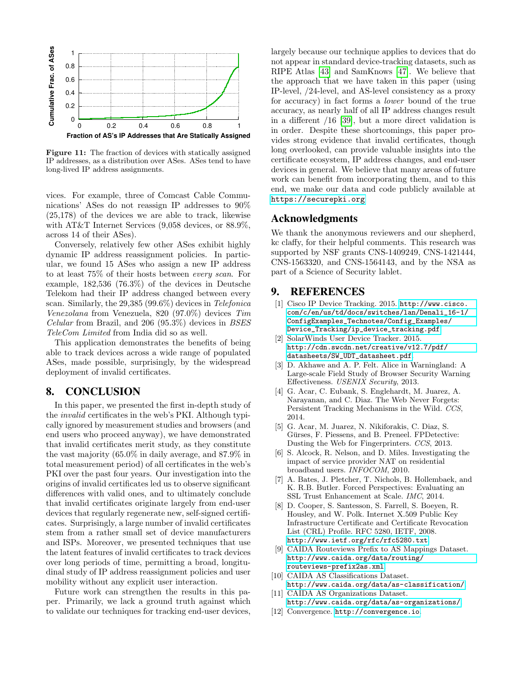<span id="page-13-12"></span>

Figure 11: The fraction of devices with statically assigned IP addresses, as a distribution over ASes. ASes tend to have long-lived IP address assignments.

vices. For example, three of Comcast Cable Communications' ASes do not reassign IP addresses to 90% (25,178) of the devices we are able to track, likewise with AT&T Internet Services (9,058 devices, or 88.9%, across 14 of their ASes).

Conversely, relatively few other ASes exhibit highly dynamic IP address reassignment policies. In particular, we found 15 ASes who assign a new IP address to at least 75% of their hosts between every scan. For example, 182,536 (76.3%) of the devices in Deutsche Telekom had their IP address changed between every scan. Similarly, the 29,385 (99.6%) devices in Telefonica Venezolana from Venezuela, 820 (97.0%) devices Tim *Celular* from Brazil, and 206  $(95.3\%)$  devices in *BSES* TeleCom Limited from India did so as well.

This application demonstrates the benefits of being able to track devices across a wide range of populated ASes, made possible, surprisingly, by the widespread deployment of invalid certificates.

## <span id="page-13-3"></span>8. CONCLUSION

In this paper, we presented the first in-depth study of the invalid certificates in the web's PKI. Although typically ignored by measurement studies and browsers (and end users who proceed anyway), we have demonstrated that invalid certificates merit study, as they constitute the vast majority (65.0% in daily average, and 87.9% in total measurement period) of all certificates in the web's PKI over the past four years. Our investigation into the origins of invalid certificates led us to observe significant differences with valid ones, and to ultimately conclude that invalid certificates originate largely from end-user devices that regularly regenerate new, self-signed certificates. Surprisingly, a large number of invalid certificates stem from a rather small set of device manufacturers and ISPs. Moreover, we presented techniques that use the latent features of invalid certificates to track devices over long periods of time, permitting a broad, longitudinal study of IP address reassignment policies and user mobility without any explicit user interaction.

Future work can strengthen the results in this paper. Primarily, we lack a ground truth against which to validate our techniques for tracking end-user devices, largely because our technique applies to devices that do not appear in standard device-tracking datasets, such as RIPE Atlas [\[43\]](#page-14-41) and SamKnows [\[47\]](#page-14-7). We believe that the approach that we have taken in this paper (using IP-level, /24-level, and AS-level consistency as a proxy for accuracy) in fact forms a lower bound of the true accuracy, as nearly half of all IP address changes result in a different /16 [\[39\]](#page-14-31), but a more direct validation is in order. Despite these shortcomings, this paper provides strong evidence that invalid certificates, though long overlooked, can provide valuable insights into the certificate ecosystem, IP address changes, and end-user devices in general. We believe that many areas of future work can benefit from incorporating them, and to this end, we make our data and code publicly available at <https://securepki.org>

#### Acknowledgments

We thank the anonymous reviewers and our shepherd, kc claffy, for their helpful comments. This research was supported by NSF grants CNS-1409249, CNS-1421444, CNS-1563320, and CNS-1564143, and by the NSA as part of a Science of Security lablet.

## 9. REFERENCES

- <span id="page-13-1"></span>[1] Cisco IP Device Tracking. 2015. [http://www.cisco.](http://www.cisco.com/c/en/us/td/docs/switches/lan/Denali_16-1/ConfigExamples_Technotes/Config_Examples/Device_Tracking/ip_device_tracking.pdf) [com/c/en/us/td/docs/switches/lan/Denali\\_16-1/](http://www.cisco.com/c/en/us/td/docs/switches/lan/Denali_16-1/ConfigExamples_Technotes/Config_Examples/Device_Tracking/ip_device_tracking.pdf) [ConfigExamples\\_Technotes/Config\\_Examples/](http://www.cisco.com/c/en/us/td/docs/switches/lan/Denali_16-1/ConfigExamples_Technotes/Config_Examples/Device_Tracking/ip_device_tracking.pdf) [Device\\_Tracking/ip\\_device\\_tracking.pdf](http://www.cisco.com/c/en/us/td/docs/switches/lan/Denali_16-1/ConfigExamples_Technotes/Config_Examples/Device_Tracking/ip_device_tracking.pdf).
- <span id="page-13-2"></span>[2] SolarWinds User Device Tracker. 2015. [http://cdn.swcdn.net/creative/v12.7/pdf/](http://cdn.swcdn.net/creative/v12.7/pdf/datasheets/SW_UDT_datasheet.pdf) [datasheets/SW\\_UDT\\_datasheet.pdf](http://cdn.swcdn.net/creative/v12.7/pdf/datasheets/SW_UDT_datasheet.pdf).
- <span id="page-13-4"></span>[3] D. Akhawe and A. P. Felt. Alice in Warningland: A Large-scale Field Study of Browser Security Warning Effectiveness. USENIX Security, 2013.
- <span id="page-13-11"></span>[4] G. Acar, C. Eubank, S. Englehardt, M. Juarez, A. Narayanan, and C. Diaz. The Web Never Forgets: Persistent Tracking Mechanisms in the Wild. CCS, 2014.
- <span id="page-13-10"></span>[5] G. Acar, M. Juarez, N. Nikiforakis, C. Diaz, S. Gürses, F. Piessens, and B. Preneel. FPDetective: Dusting the Web for Fingerprinters. CCS, 2013.
- <span id="page-13-9"></span>[6] S. Alcock, R. Nelson, and D. Miles. Investigating the impact of service provider NAT on residential broadband users. INFOCOM, 2010.
- <span id="page-13-5"></span>[7] A. Bates, J. Pletcher, T. Nichols, B. Hollembaek, and K. R.B. Butler. Forced Perspectives: Evaluating an SSL Trust Enhancement at Scale. IMC, 2014.
- <span id="page-13-0"></span>[8] D. Cooper, S. Santesson, S. Farrell, S. Boeyen, R. Housley, and W. Polk. Internet X.509 Public Key Infrastructure Certificate and Certificate Revocation List (CRL) Profile. RFC 5280, IETF, 2008. <http://www.ietf.org/rfc/rfc5280.txt>.
- <span id="page-13-7"></span>[9] CAIDA Routeviews Prefix to AS Mappings Dataset. [http://www.caida.org/data/routing/](http://www.caida.org/data/routing/routeviews-prefix2as.xml) [routeviews-prefix2as.xml](http://www.caida.org/data/routing/routeviews-prefix2as.xml).
- <span id="page-13-8"></span>[10] CAIDA AS Classifications Dataset. <http://www.caida.org/data/as-classification/>.
- <span id="page-13-13"></span>[11] CAIDA AS Organizations Dataset. <http://www.caida.org/data/as-organizations/>.
- <span id="page-13-6"></span>[12] Convergence. <http://convergence.io>.